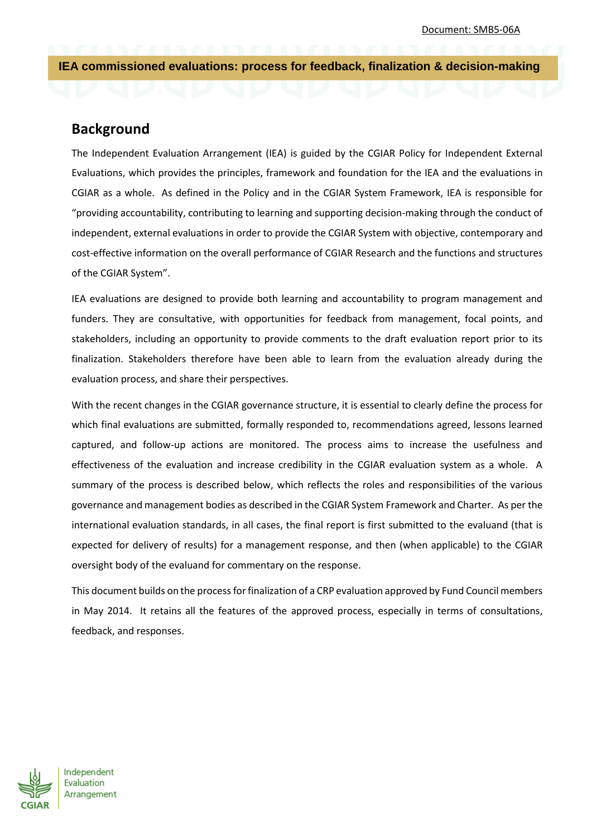**IEA commissioned evaluations: process for feedback, finalization & decision-making** 

# **Background**

The Independent Evaluation Arrangement (IEA) is guided by the CGIAR Policy for Independent External Evaluations, which provides the principles, framework and foundation for the IEA and the evaluations in CGIAR as a whole. As defined in the Policy and in the CGIAR System Framework, IEA is responsible for "providing accountability, contributing to learning and supporting decision-making through the conduct of independent, external evaluations in order to provide the CGIAR System with objective, contemporary and cost-effective information on the overall performance of CGIAR Research and the functions and structures of the CGIAR System".

IEA evaluations are designed to provide both learning and accountability to program management and funders. They are consultative, with opportunities for feedback from management, focal points, and stakeholders, including an opportunity to provide comments to the draft evaluation report prior to its finalization. Stakeholders therefore have been able to learn from the evaluation already during the evaluation process, and share their perspectives.

With the recent changes in the CGIAR governance structure, it is essential to clearly define the process for which final evaluations are submitted, formally responded to, recommendations agreed, lessons learned captured, and follow-up actions are monitored. The process aims to increase the usefulness and effectiveness of the evaluation and increase credibility in the CGIAR evaluation system as a whole. A summary of the process is described below, which reflects the roles and responsibilities of the various governance and management bodies as described in the CGIAR System Framework and Charter. As per the international evaluation standards, in all cases, the final report is first submitted to the evaluand (that is expected for delivery of results) for a management response, and then (when applicable) to the CGIAR oversight body of the evaluand for commentary on the response.

This document builds on the process for finalization of a CRP evaluation approved by Fund Council members in May 2014. It retains all the features of the approved process, especially in terms of consultations, feedback, and responses.



Independent Evaluation Arrangement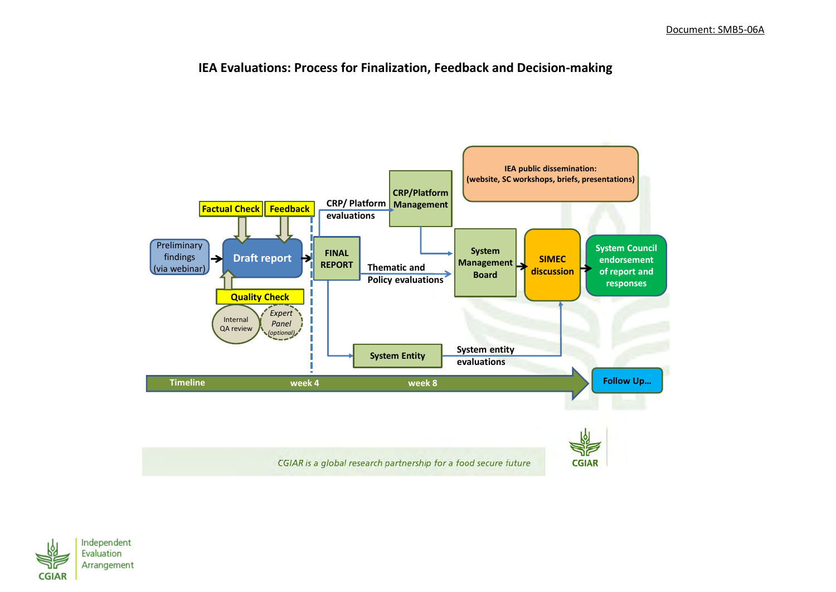## **IEA Evaluations: Process for Finalization, Feedback and Decision-making**



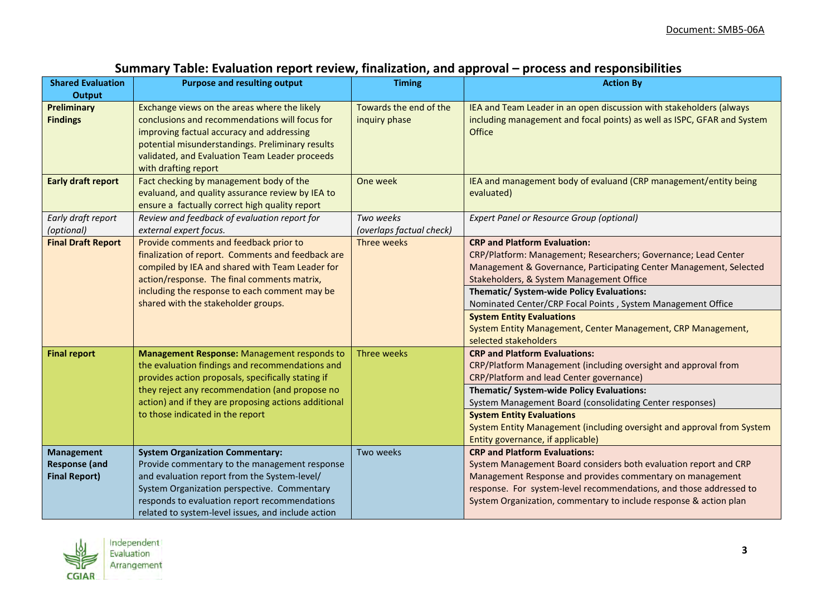| <b>Shared Evaluation</b>                                          | <b>Purpose and resulting output</b>                                                                                                                                                                                                                                                                | <b>Timing</b>                           | <b>Action By</b>                                                                                                                                                                                                                                                                                                                                                                                                                                                 |
|-------------------------------------------------------------------|----------------------------------------------------------------------------------------------------------------------------------------------------------------------------------------------------------------------------------------------------------------------------------------------------|-----------------------------------------|------------------------------------------------------------------------------------------------------------------------------------------------------------------------------------------------------------------------------------------------------------------------------------------------------------------------------------------------------------------------------------------------------------------------------------------------------------------|
| <b>Output</b>                                                     |                                                                                                                                                                                                                                                                                                    |                                         |                                                                                                                                                                                                                                                                                                                                                                                                                                                                  |
| <b>Preliminary</b><br><b>Findings</b>                             | Exchange views on the areas where the likely<br>conclusions and recommendations will focus for<br>improving factual accuracy and addressing<br>potential misunderstandings. Preliminary results<br>validated, and Evaluation Team Leader proceeds<br>with drafting report                          | Towards the end of the<br>inquiry phase | IEA and Team Leader in an open discussion with stakeholders (always<br>including management and focal points) as well as ISPC, GFAR and System<br>Office                                                                                                                                                                                                                                                                                                         |
| <b>Early draft report</b>                                         | Fact checking by management body of the<br>evaluand, and quality assurance review by IEA to<br>ensure a factually correct high quality report                                                                                                                                                      | One week                                | IEA and management body of evaluand (CRP management/entity being<br>evaluated)                                                                                                                                                                                                                                                                                                                                                                                   |
| Early draft report<br>(optional)                                  | Review and feedback of evaluation report for<br>external expert focus.                                                                                                                                                                                                                             | Two weeks<br>(overlaps factual check)   | <b>Expert Panel or Resource Group (optional)</b>                                                                                                                                                                                                                                                                                                                                                                                                                 |
| <b>Final Draft Report</b>                                         | Provide comments and feedback prior to<br>finalization of report. Comments and feedback are<br>compiled by IEA and shared with Team Leader for<br>action/response. The final comments matrix,<br>including the response to each comment may be<br>shared with the stakeholder groups.              | Three weeks                             | <b>CRP and Platform Evaluation:</b><br>CRP/Platform: Management; Researchers; Governance; Lead Center<br>Management & Governance, Participating Center Management, Selected<br>Stakeholders, & System Management Office<br>Thematic/ System-wide Policy Evaluations:<br>Nominated Center/CRP Focal Points, System Management Office<br><b>System Entity Evaluations</b><br>System Entity Management, Center Management, CRP Management,<br>selected stakeholders |
| <b>Final report</b>                                               | Management Response: Management responds to<br>the evaluation findings and recommendations and<br>provides action proposals, specifically stating if<br>they reject any recommendation (and propose no<br>action) and if they are proposing actions additional<br>to those indicated in the report | Three weeks                             | <b>CRP and Platform Evaluations:</b><br>CRP/Platform Management (including oversight and approval from<br>CRP/Platform and lead Center governance)<br>Thematic/ System-wide Policy Evaluations:<br>System Management Board (consolidating Center responses)<br><b>System Entity Evaluations</b><br>System Entity Management (including oversight and approval from System<br>Entity governance, if applicable)                                                   |
| <b>Management</b><br><b>Response (and</b><br><b>Final Report)</b> | <b>System Organization Commentary:</b><br>Provide commentary to the management response<br>and evaluation report from the System-level/<br>System Organization perspective. Commentary<br>responds to evaluation report recommendations<br>related to system-level issues, and include action      | Two weeks                               | <b>CRP and Platform Evaluations:</b><br>System Management Board considers both evaluation report and CRP<br>Management Response and provides commentary on management<br>response. For system-level recommendations, and those addressed to<br>System Organization, commentary to include response & action plan                                                                                                                                                 |

# **Summary Table: Evaluation report review, finalization, and approval – process and responsibilities**

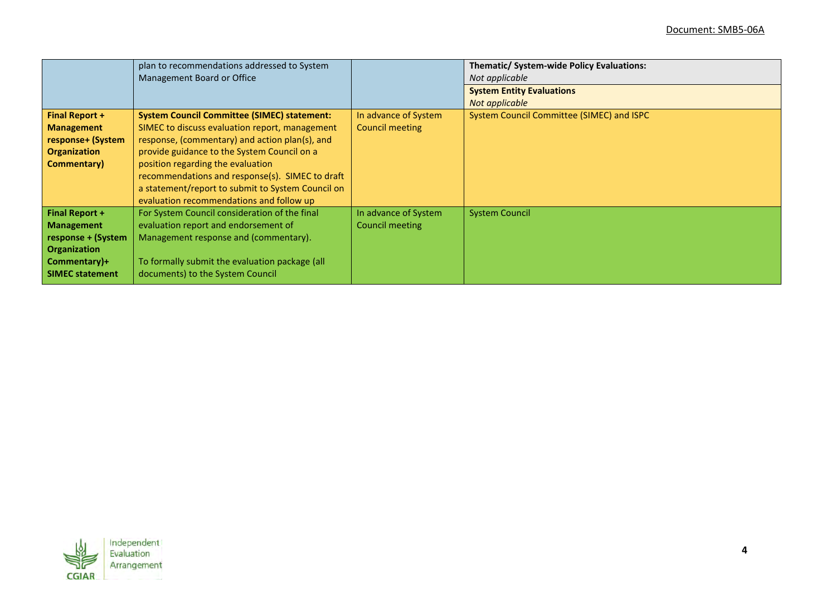|                        | plan to recommendations addressed to System<br>Management Board or Office |                        | Thematic/ System-wide Policy Evaluations:<br>Not applicable |
|------------------------|---------------------------------------------------------------------------|------------------------|-------------------------------------------------------------|
|                        |                                                                           |                        | <b>System Entity Evaluations</b>                            |
|                        |                                                                           |                        | Not applicable                                              |
| <b>Final Report +</b>  | <b>System Council Committee (SIMEC) statement:</b>                        | In advance of System   | System Council Committee (SIMEC) and ISPC                   |
| <b>Management</b>      | SIMEC to discuss evaluation report, management                            | <b>Council meeting</b> |                                                             |
| response+ (System      | response, (commentary) and action plan(s), and                            |                        |                                                             |
| <b>Organization</b>    | provide guidance to the System Council on a                               |                        |                                                             |
| Commentary)            | position regarding the evaluation                                         |                        |                                                             |
|                        | recommendations and response(s). SIMEC to draft                           |                        |                                                             |
|                        | a statement/report to submit to System Council on                         |                        |                                                             |
|                        | evaluation recommendations and follow up                                  |                        |                                                             |
| <b>Final Report +</b>  | For System Council consideration of the final                             | In advance of System   | <b>System Council</b>                                       |
| <b>Management</b>      | evaluation report and endorsement of                                      | Council meeting        |                                                             |
| response + (System     | Management response and (commentary).                                     |                        |                                                             |
| <b>Organization</b>    |                                                                           |                        |                                                             |
| Commentary)+           | To formally submit the evaluation package (all                            |                        |                                                             |
| <b>SIMEC statement</b> | documents) to the System Council                                          |                        |                                                             |

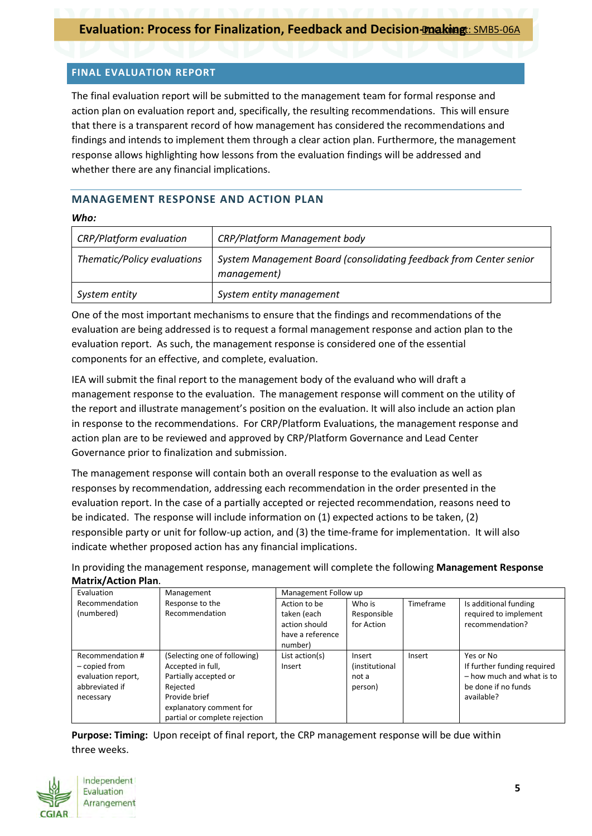### **FINAL EVALUATION REPORT**

The final evaluation report will be submitted to the management team for formal response and action plan on evaluation report and, specifically, the resulting recommendations. This will ensure that there is a transparent record of how management has considered the recommendations and findings and intends to implement them through a clear action plan. Furthermore, the management response allows highlighting how lessons from the evaluation findings will be addressed and whether there are any financial implications.

## **MANAGEMENT RESPONSE AND ACTION PLAN**

#### *Who:*

| <b>CRP/Platform evaluation</b> | <b>CRP/Platform Management body</b>                                               |
|--------------------------------|-----------------------------------------------------------------------------------|
| Thematic/Policy evaluations    | System Management Board (consolidating feedback from Center senior<br>management) |
| System entity                  | System entity management                                                          |

One of the most important mechanisms to ensure that the findings and recommendations of the evaluation are being addressed is to request a formal management response and action plan to the evaluation report. As such, the management response is considered one of the essential components for an effective, and complete, evaluation.

IEA will submit the final report to the management body of the evaluand who will draft a management response to the evaluation. The management response will comment on the utility of the report and illustrate management's position on the evaluation. It will also include an action plan in response to the recommendations. For CRP/Platform Evaluations, the management response and action plan are to be reviewed and approved by CRP/Platform Governance and Lead Center Governance prior to finalization and submission.

The management response will contain both an overall response to the evaluation as well as responses by recommendation, addressing each recommendation in the order presented in the evaluation report. In the case of a partially accepted or rejected recommendation, reasons need to be indicated. The response will include information on (1) expected actions to be taken, (2) responsible party or unit for follow-up action, and (3) the time-frame for implementation. It will also indicate whether proposed action has any financial implications.

In providing the management response, management will complete the following **Management Response Matrix/Action Plan**.

| Evaluation                   | Management                        | Management Follow up                                             |                                     |           |                                                                   |
|------------------------------|-----------------------------------|------------------------------------------------------------------|-------------------------------------|-----------|-------------------------------------------------------------------|
| Recommendation<br>(numbered) | Response to the<br>Recommendation | Action to be<br>taken (each<br>action should<br>have a reference | Who is<br>Responsible<br>for Action | Timeframe | Is additional funding<br>required to implement<br>recommendation? |
|                              |                                   | number)                                                          |                                     |           |                                                                   |
| Recommendation #             | (Selecting one of following)      | List action(s)                                                   | Insert                              | Insert    | Yes or No                                                         |
| - copied from                | Accepted in full,                 | Insert                                                           | (institutional                      |           | If further funding required                                       |
| evaluation report,           | Partially accepted or             |                                                                  | not a                               |           | - how much and what is to                                         |
| abbreviated if               | Reiected                          |                                                                  | person)                             |           | be done if no funds                                               |
| necessary                    | Provide brief                     |                                                                  |                                     |           | available?                                                        |
|                              | explanatory comment for           |                                                                  |                                     |           |                                                                   |
|                              | partial or complete rejection     |                                                                  |                                     |           |                                                                   |

**Purpose: Timing:** Upon receipt of final report, the CRP management response will be due within three weeks.